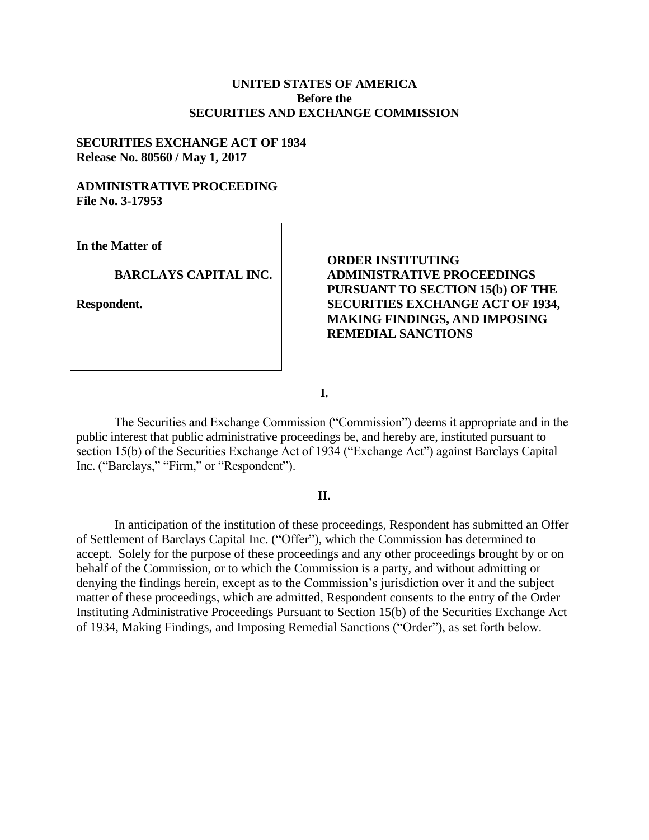### **UNITED STATES OF AMERICA Before the SECURITIES AND EXCHANGE COMMISSION**

#### **SECURITIES EXCHANGE ACT OF 1934 Release No. 80560 / May 1, 2017**

#### **ADMINISTRATIVE PROCEEDING File No. 3-17953**

**In the Matter of**

### **BARCLAYS CAPITAL INC.**

**Respondent.**

## **ORDER INSTITUTING ADMINISTRATIVE PROCEEDINGS PURSUANT TO SECTION 15(b) OF THE SECURITIES EXCHANGE ACT OF 1934, MAKING FINDINGS, AND IMPOSING REMEDIAL SANCTIONS**

**I.**

The Securities and Exchange Commission ("Commission") deems it appropriate and in the public interest that public administrative proceedings be, and hereby are, instituted pursuant to section 15(b) of the Securities Exchange Act of 1934 ("Exchange Act") against Barclays Capital Inc. ("Barclays," "Firm," or "Respondent").

#### **II.**

In anticipation of the institution of these proceedings, Respondent has submitted an Offer of Settlement of Barclays Capital Inc. ("Offer"), which the Commission has determined to accept. Solely for the purpose of these proceedings and any other proceedings brought by or on behalf of the Commission, or to which the Commission is a party, and without admitting or denying the findings herein, except as to the Commission's jurisdiction over it and the subject matter of these proceedings, which are admitted, Respondent consents to the entry of the Order Instituting Administrative Proceedings Pursuant to Section 15(b) of the Securities Exchange Act of 1934, Making Findings, and Imposing Remedial Sanctions ("Order"), as set forth below.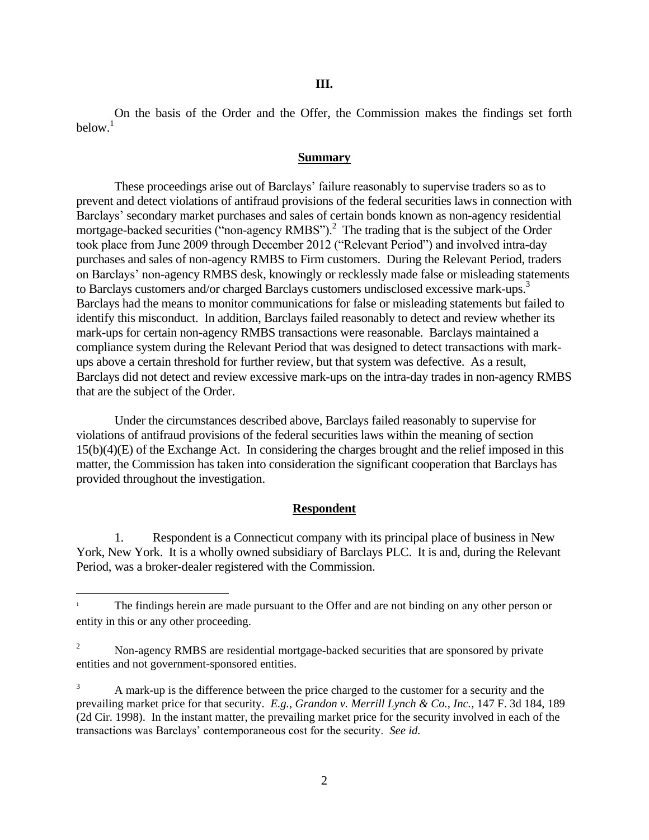On the basis of the Order and the Offer, the Commission makes the findings set forth below.<sup>1</sup>

#### **Summary**

These proceedings arise out of Barclays' failure reasonably to supervise traders so as to prevent and detect violations of antifraud provisions of the federal securities laws in connection with Barclays' secondary market purchases and sales of certain bonds known as non-agency residential mortgage-backed securities ("non-agency RMBS").<sup>2</sup> The trading that is the subject of the Order took place from June 2009 through December 2012 ("Relevant Period") and involved intra-day purchases and sales of non-agency RMBS to Firm customers. During the Relevant Period, traders on Barclays' non-agency RMBS desk, knowingly or recklessly made false or misleading statements to Barclays customers and/or charged Barclays customers undisclosed excessive mark-ups.<sup>3</sup> Barclays had the means to monitor communications for false or misleading statements but failed to identify this misconduct. In addition, Barclays failed reasonably to detect and review whether its mark-ups for certain non-agency RMBS transactions were reasonable. Barclays maintained a compliance system during the Relevant Period that was designed to detect transactions with markups above a certain threshold for further review, but that system was defective. As a result, Barclays did not detect and review excessive mark-ups on the intra-day trades in non-agency RMBS that are the subject of the Order.

Under the circumstances described above, Barclays failed reasonably to supervise for violations of antifraud provisions of the federal securities laws within the meaning of section 15(b)(4)(E) of the Exchange Act. In considering the charges brought and the relief imposed in this matter, the Commission has taken into consideration the significant cooperation that Barclays has provided throughout the investigation.

#### **Respondent**

1. Respondent is a Connecticut company with its principal place of business in New York, New York. It is a wholly owned subsidiary of Barclays PLC. It is and, during the Relevant Period, was a broker-dealer registered with the Commission.

 $\overline{\phantom{a}}$ 

<sup>1</sup> The findings herein are made pursuant to the Offer and are not binding on any other person or entity in this or any other proceeding.

<sup>2</sup> Non-agency RMBS are residential mortgage-backed securities that are sponsored by private entities and not government-sponsored entities.

<sup>3</sup> A mark-up is the difference between the price charged to the customer for a security and the prevailing market price for that security. *E.g.*, *Grandon v. Merrill Lynch & Co., Inc.*, 147 F. 3d 184, 189 (2d Cir. 1998). In the instant matter, the prevailing market price for the security involved in each of the transactions was Barclays' contemporaneous cost for the security. *See id.*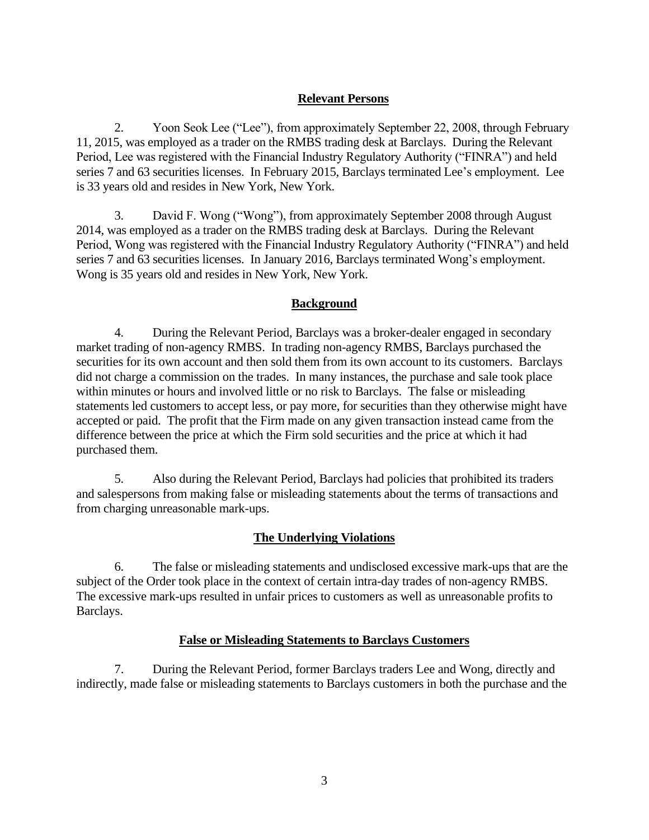## **Relevant Persons**

2. Yoon Seok Lee ("Lee"), from approximately September 22, 2008, through February 11, 2015, was employed as a trader on the RMBS trading desk at Barclays. During the Relevant Period, Lee was registered with the Financial Industry Regulatory Authority ("FINRA") and held series 7 and 63 securities licenses. In February 2015, Barclays terminated Lee's employment. Lee is 33 years old and resides in New York, New York.

3. David F. Wong ("Wong"), from approximately September 2008 through August 2014, was employed as a trader on the RMBS trading desk at Barclays. During the Relevant Period, Wong was registered with the Financial Industry Regulatory Authority ("FINRA") and held series 7 and 63 securities licenses. In January 2016, Barclays terminated Wong's employment. Wong is 35 years old and resides in New York, New York.

### **Background**

4. During the Relevant Period, Barclays was a broker-dealer engaged in secondary market trading of non-agency RMBS. In trading non-agency RMBS, Barclays purchased the securities for its own account and then sold them from its own account to its customers. Barclays did not charge a commission on the trades. In many instances, the purchase and sale took place within minutes or hours and involved little or no risk to Barclays. The false or misleading statements led customers to accept less, or pay more, for securities than they otherwise might have accepted or paid. The profit that the Firm made on any given transaction instead came from the difference between the price at which the Firm sold securities and the price at which it had purchased them.

5. Also during the Relevant Period, Barclays had policies that prohibited its traders and salespersons from making false or misleading statements about the terms of transactions and from charging unreasonable mark-ups.

## **The Underlying Violations**

6. The false or misleading statements and undisclosed excessive mark-ups that are the subject of the Order took place in the context of certain intra-day trades of non-agency RMBS. The excessive mark-ups resulted in unfair prices to customers as well as unreasonable profits to Barclays.

### **False or Misleading Statements to Barclays Customers**

7. During the Relevant Period, former Barclays traders Lee and Wong, directly and indirectly, made false or misleading statements to Barclays customers in both the purchase and the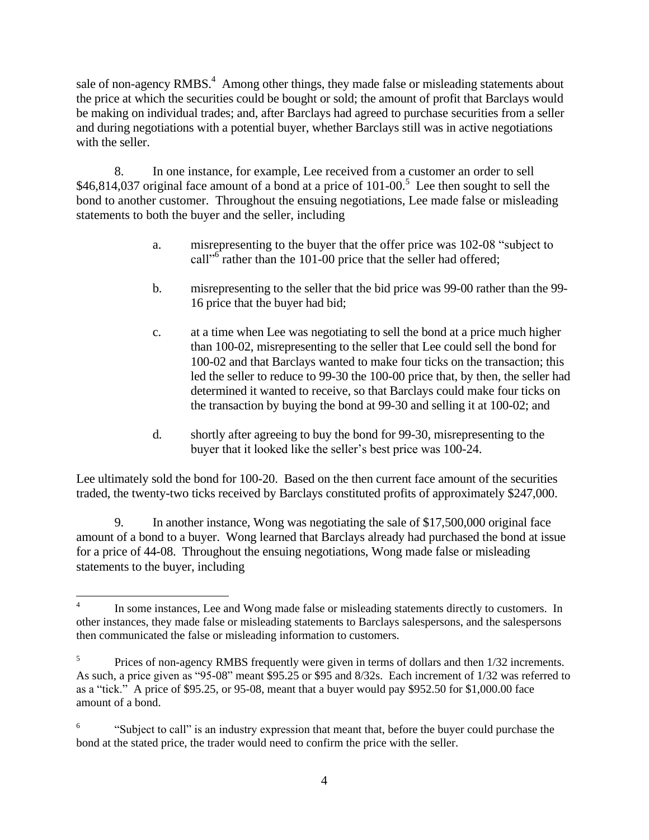sale of non-agency RMBS.<sup>4</sup> Among other things, they made false or misleading statements about the price at which the securities could be bought or sold; the amount of profit that Barclays would be making on individual trades; and, after Barclays had agreed to purchase securities from a seller and during negotiations with a potential buyer, whether Barclays still was in active negotiations with the seller.

8. In one instance, for example, Lee received from a customer an order to sell \$46,814,037 original face amount of a bond at a price of  $101{\text -}00$ .<sup>5</sup> Lee then sought to sell the bond to another customer. Throughout the ensuing negotiations, Lee made false or misleading statements to both the buyer and the seller, including

- a. misrepresenting to the buyer that the offer price was 102-08 "subject to call"<sup>6</sup> rather than the 101-00 price that the seller had offered;
- b. misrepresenting to the seller that the bid price was 99-00 rather than the 99- 16 price that the buyer had bid;
- c. at a time when Lee was negotiating to sell the bond at a price much higher than 100-02, misrepresenting to the seller that Lee could sell the bond for 100-02 and that Barclays wanted to make four ticks on the transaction; this led the seller to reduce to 99-30 the 100-00 price that, by then, the seller had determined it wanted to receive, so that Barclays could make four ticks on the transaction by buying the bond at 99-30 and selling it at 100-02; and
- d. shortly after agreeing to buy the bond for 99-30, misrepresenting to the buyer that it looked like the seller's best price was 100-24.

Lee ultimately sold the bond for 100-20. Based on the then current face amount of the securities traded, the twenty-two ticks received by Barclays constituted profits of approximately \$247,000.

9. In another instance, Wong was negotiating the sale of \$17,500,000 original face amount of a bond to a buyer. Wong learned that Barclays already had purchased the bond at issue for a price of 44-08. Throughout the ensuing negotiations, Wong made false or misleading statements to the buyer, including

 $\overline{\phantom{a}}$ 4 In some instances, Lee and Wong made false or misleading statements directly to customers. In other instances, they made false or misleading statements to Barclays salespersons, and the salespersons then communicated the false or misleading information to customers.

<sup>5</sup> Prices of non-agency RMBS frequently were given in terms of dollars and then 1/32 increments. As such, a price given as "95-08" meant \$95.25 or \$95 and 8/32s. Each increment of 1/32 was referred to as a "tick." A price of \$95.25, or 95-08, meant that a buyer would pay \$952.50 for \$1,000.00 face amount of a bond.

<sup>6</sup> "Subject to call" is an industry expression that meant that, before the buyer could purchase the bond at the stated price, the trader would need to confirm the price with the seller.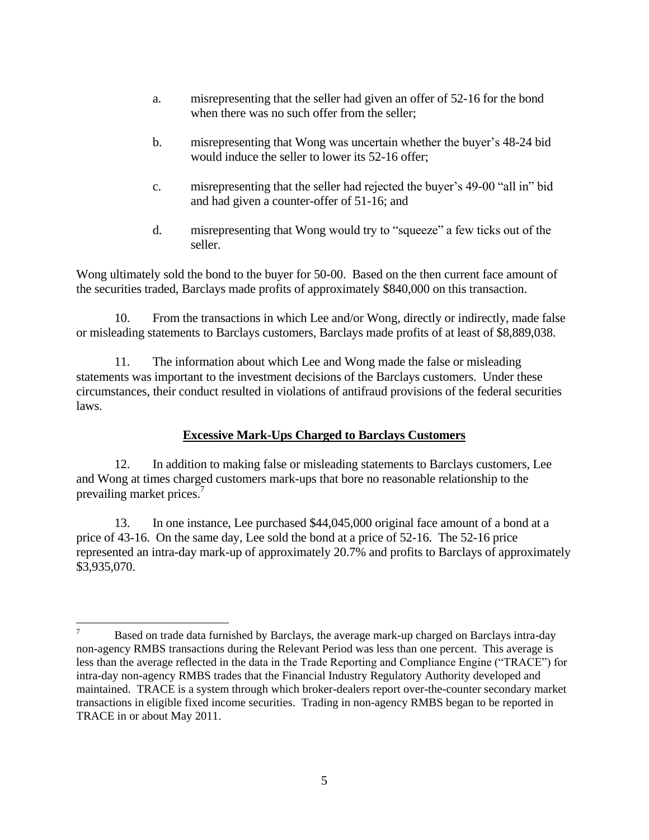- a. misrepresenting that the seller had given an offer of 52-16 for the bond when there was no such offer from the seller;
- b. misrepresenting that Wong was uncertain whether the buyer's 48-24 bid would induce the seller to lower its 52-16 offer;
- c. misrepresenting that the seller had rejected the buyer's 49-00 "all in" bid and had given a counter-offer of 51-16; and
- d. misrepresenting that Wong would try to "squeeze" a few ticks out of the seller.

Wong ultimately sold the bond to the buyer for 50-00. Based on the then current face amount of the securities traded, Barclays made profits of approximately \$840,000 on this transaction.

10. From the transactions in which Lee and/or Wong, directly or indirectly, made false or misleading statements to Barclays customers, Barclays made profits of at least of \$8,889,038.

11. The information about which Lee and Wong made the false or misleading statements was important to the investment decisions of the Barclays customers. Under these circumstances, their conduct resulted in violations of antifraud provisions of the federal securities laws.

# **Excessive Mark-Ups Charged to Barclays Customers**

12. In addition to making false or misleading statements to Barclays customers, Lee and Wong at times charged customers mark-ups that bore no reasonable relationship to the prevailing market prices.<sup>7</sup>

13. In one instance, Lee purchased \$44,045,000 original face amount of a bond at a price of 43-16. On the same day, Lee sold the bond at a price of 52-16. The 52-16 price represented an intra-day mark-up of approximately 20.7% and profits to Barclays of approximately \$3,935,070.

 $\overline{a}$ 

Based on trade data furnished by Barclays, the average mark-up charged on Barclays intra-day non-agency RMBS transactions during the Relevant Period was less than one percent. This average is less than the average reflected in the data in the Trade Reporting and Compliance Engine ("TRACE") for intra-day non-agency RMBS trades that the Financial Industry Regulatory Authority developed and maintained. TRACE is a system through which broker-dealers report over-the-counter secondary market transactions in eligible fixed income securities. Trading in non-agency RMBS began to be reported in TRACE in or about May 2011.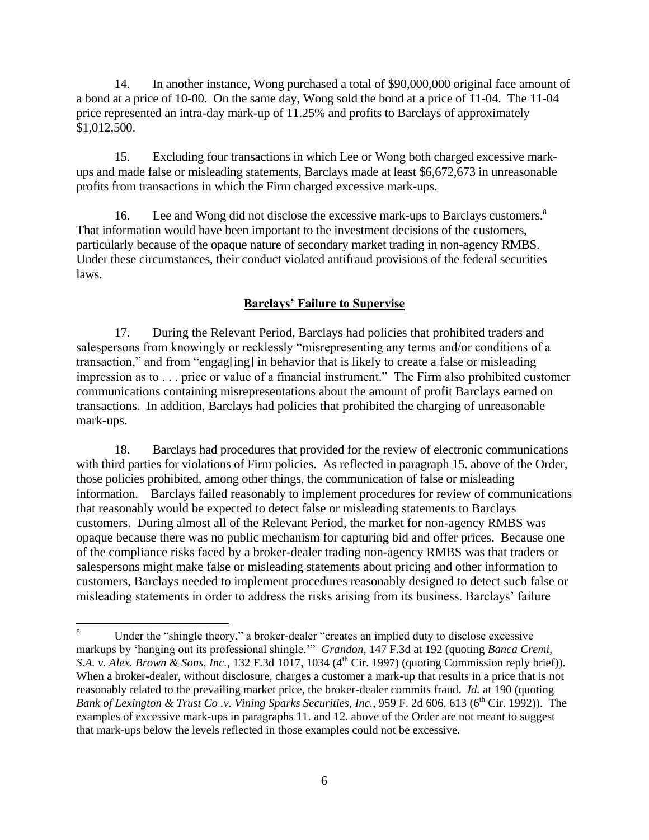14. In another instance, Wong purchased a total of \$90,000,000 original face amount of a bond at a price of 10-00. On the same day, Wong sold the bond at a price of 11-04. The 11-04 price represented an intra-day mark-up of 11.25% and profits to Barclays of approximately \$1,012,500.

15. Excluding four transactions in which Lee or Wong both charged excessive markups and made false or misleading statements, Barclays made at least \$6,672,673 in unreasonable profits from transactions in which the Firm charged excessive mark-ups.

16. Lee and Wong did not disclose the excessive mark-ups to Barclays customers.<sup>8</sup> That information would have been important to the investment decisions of the customers, particularly because of the opaque nature of secondary market trading in non-agency RMBS. Under these circumstances, their conduct violated antifraud provisions of the federal securities laws.

## **Barclays' Failure to Supervise**

17. During the Relevant Period, Barclays had policies that prohibited traders and salespersons from knowingly or recklessly "misrepresenting any terms and/or conditions of a transaction," and from "engag[ing] in behavior that is likely to create a false or misleading impression as to . . . price or value of a financial instrument." The Firm also prohibited customer communications containing misrepresentations about the amount of profit Barclays earned on transactions. In addition, Barclays had policies that prohibited the charging of unreasonable mark-ups.

18. Barclays had procedures that provided for the review of electronic communications with third parties for violations of Firm policies. As reflected in paragraph 15. above of the Order, those policies prohibited, among other things, the communication of false or misleading information. Barclays failed reasonably to implement procedures for review of communications that reasonably would be expected to detect false or misleading statements to Barclays customers. During almost all of the Relevant Period, the market for non-agency RMBS was opaque because there was no public mechanism for capturing bid and offer prices. Because one of the compliance risks faced by a broker-dealer trading non-agency RMBS was that traders or salespersons might make false or misleading statements about pricing and other information to customers, Barclays needed to implement procedures reasonably designed to detect such false or misleading statements in order to address the risks arising from its business. Barclays' failure

 $\bf 8$ Under the "shingle theory," a broker-dealer "creates an implied duty to disclose excessive markups by 'hanging out its professional shingle.'" *Grandon*, 147 F.3d at 192 (quoting *Banca Cremi, S.A. v. Alex. Brown & Sons, Inc.,* 132 F.3d 1017, 1034 (4<sup>th</sup> Cir. 1997) (quoting Commission reply brief)). When a broker-dealer, without disclosure, charges a customer a mark-up that results in a price that is not reasonably related to the prevailing market price, the broker-dealer commits fraud. *Id.* at 190 (quoting *Bank of Lexington & Trust Co.v. Vining Sparks Securities, Inc., 959 F. 2d 606, 613 (6<sup>th</sup> Cir. 1992)). The* examples of excessive mark-ups in paragraphs 11. and 12. above of the Order are not meant to suggest that mark-ups below the levels reflected in those examples could not be excessive.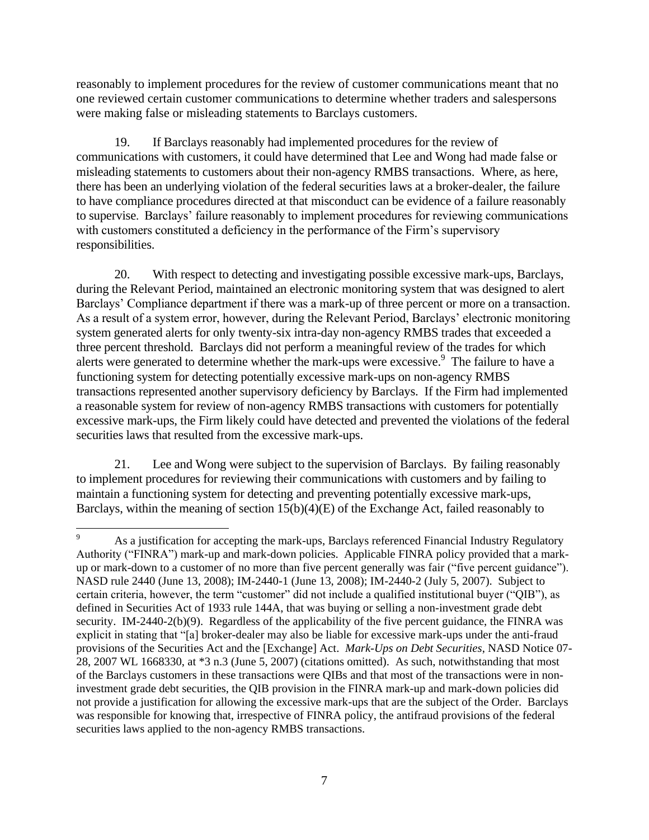reasonably to implement procedures for the review of customer communications meant that no one reviewed certain customer communications to determine whether traders and salespersons were making false or misleading statements to Barclays customers.

19. If Barclays reasonably had implemented procedures for the review of communications with customers, it could have determined that Lee and Wong had made false or misleading statements to customers about their non-agency RMBS transactions. Where, as here, there has been an underlying violation of the federal securities laws at a broker-dealer, the failure to have compliance procedures directed at that misconduct can be evidence of a failure reasonably to supervise. Barclays' failure reasonably to implement procedures for reviewing communications with customers constituted a deficiency in the performance of the Firm's supervisory responsibilities.

20. With respect to detecting and investigating possible excessive mark-ups, Barclays, during the Relevant Period, maintained an electronic monitoring system that was designed to alert Barclays' Compliance department if there was a mark-up of three percent or more on a transaction. As a result of a system error, however, during the Relevant Period, Barclays' electronic monitoring system generated alerts for only twenty-six intra-day non-agency RMBS trades that exceeded a three percent threshold. Barclays did not perform a meaningful review of the trades for which alerts were generated to determine whether the mark-ups were excessive.<sup>9</sup> The failure to have a functioning system for detecting potentially excessive mark-ups on non-agency RMBS transactions represented another supervisory deficiency by Barclays. If the Firm had implemented a reasonable system for review of non-agency RMBS transactions with customers for potentially excessive mark-ups, the Firm likely could have detected and prevented the violations of the federal securities laws that resulted from the excessive mark-ups.

21. Lee and Wong were subject to the supervision of Barclays. By failing reasonably to implement procedures for reviewing their communications with customers and by failing to maintain a functioning system for detecting and preventing potentially excessive mark-ups, Barclays, within the meaning of section 15(b)(4)(E) of the Exchange Act, failed reasonably to

 $\overline{\phantom{a}}$ 

<sup>9</sup> As a justification for accepting the mark-ups, Barclays referenced Financial Industry Regulatory Authority ("FINRA") mark-up and mark-down policies. Applicable FINRA policy provided that a markup or mark-down to a customer of no more than five percent generally was fair ("five percent guidance"). NASD rule 2440 (June 13, 2008); IM-2440-1 (June 13, 2008); IM-2440-2 (July 5, 2007). Subject to certain criteria, however, the term "customer" did not include a qualified institutional buyer ("QIB"), as defined in Securities Act of 1933 rule 144A, that was buying or selling a non-investment grade debt security. IM-2440-2(b)(9). Regardless of the applicability of the five percent guidance, the FINRA was explicit in stating that "[a] broker-dealer may also be liable for excessive mark-ups under the anti-fraud provisions of the Securities Act and the [Exchange] Act. *Mark-Ups on Debt Securities*, NASD Notice 07- 28, 2007 WL 1668330, at \*3 n.3 (June 5, 2007) (citations omitted). As such, notwithstanding that most of the Barclays customers in these transactions were QIBs and that most of the transactions were in noninvestment grade debt securities, the QIB provision in the FINRA mark-up and mark-down policies did not provide a justification for allowing the excessive mark-ups that are the subject of the Order. Barclays was responsible for knowing that, irrespective of FINRA policy, the antifraud provisions of the federal securities laws applied to the non-agency RMBS transactions.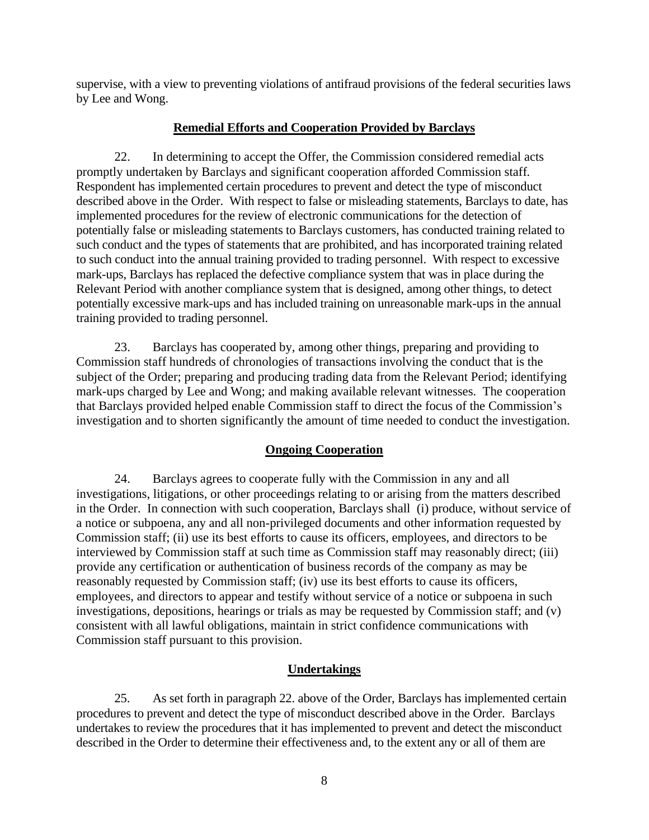supervise, with a view to preventing violations of antifraud provisions of the federal securities laws by Lee and Wong.

## **Remedial Efforts and Cooperation Provided by Barclays**

22. In determining to accept the Offer, the Commission considered remedial acts promptly undertaken by Barclays and significant cooperation afforded Commission staff*.* Respondent has implemented certain procedures to prevent and detect the type of misconduct described above in the Order. With respect to false or misleading statements, Barclays to date, has implemented procedures for the review of electronic communications for the detection of potentially false or misleading statements to Barclays customers, has conducted training related to such conduct and the types of statements that are prohibited, and has incorporated training related to such conduct into the annual training provided to trading personnel. With respect to excessive mark-ups, Barclays has replaced the defective compliance system that was in place during the Relevant Period with another compliance system that is designed, among other things, to detect potentially excessive mark-ups and has included training on unreasonable mark-ups in the annual training provided to trading personnel.

23. Barclays has cooperated by, among other things, preparing and providing to Commission staff hundreds of chronologies of transactions involving the conduct that is the subject of the Order; preparing and producing trading data from the Relevant Period; identifying mark-ups charged by Lee and Wong; and making available relevant witnesses. The cooperation that Barclays provided helped enable Commission staff to direct the focus of the Commission's investigation and to shorten significantly the amount of time needed to conduct the investigation.

## **Ongoing Cooperation**

24. Barclays agrees to cooperate fully with the Commission in any and all investigations, litigations, or other proceedings relating to or arising from the matters described in the Order. In connection with such cooperation, Barclays shall (i) produce, without service of a notice or subpoena, any and all non-privileged documents and other information requested by Commission staff; (ii) use its best efforts to cause its officers, employees, and directors to be interviewed by Commission staff at such time as Commission staff may reasonably direct; (iii) provide any certification or authentication of business records of the company as may be reasonably requested by Commission staff; (iv) use its best efforts to cause its officers, employees, and directors to appear and testify without service of a notice or subpoena in such investigations, depositions, hearings or trials as may be requested by Commission staff; and (v) consistent with all lawful obligations, maintain in strict confidence communications with Commission staff pursuant to this provision.

## **Undertakings**

25. As set forth in paragraph 22. above of the Order, Barclays has implemented certain procedures to prevent and detect the type of misconduct described above in the Order. Barclays undertakes to review the procedures that it has implemented to prevent and detect the misconduct described in the Order to determine their effectiveness and, to the extent any or all of them are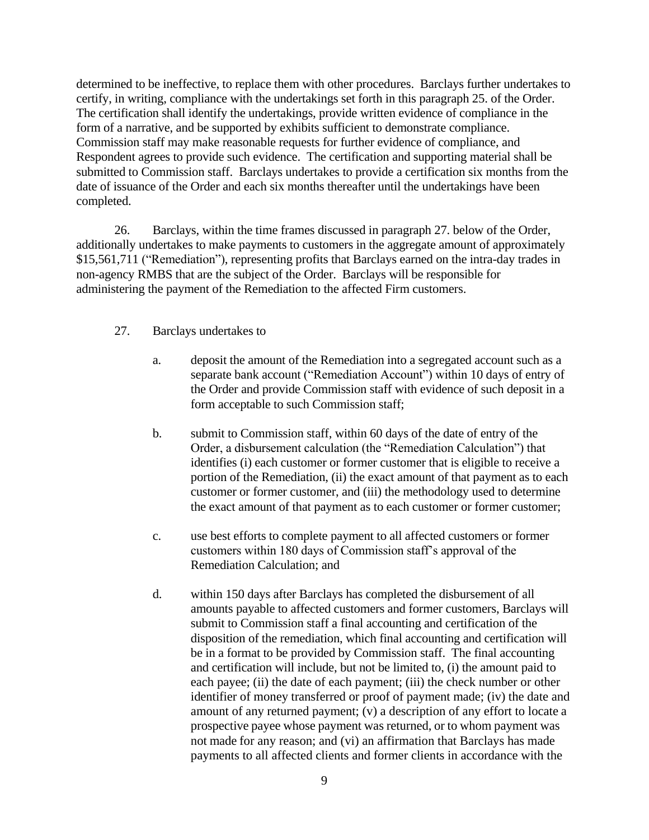determined to be ineffective, to replace them with other procedures. Barclays further undertakes to certify, in writing, compliance with the undertakings set forth in this paragraph 25. of the Order. The certification shall identify the undertakings, provide written evidence of compliance in the form of a narrative, and be supported by exhibits sufficient to demonstrate compliance. Commission staff may make reasonable requests for further evidence of compliance, and Respondent agrees to provide such evidence. The certification and supporting material shall be submitted to Commission staff. Barclays undertakes to provide a certification six months from the date of issuance of the Order and each six months thereafter until the undertakings have been completed.

26. Barclays, within the time frames discussed in paragraph 27. below of the Order, additionally undertakes to make payments to customers in the aggregate amount of approximately \$15,561,711 ("Remediation"), representing profits that Barclays earned on the intra-day trades in non-agency RMBS that are the subject of the Order. Barclays will be responsible for administering the payment of the Remediation to the affected Firm customers.

### 27. Barclays undertakes to

- a. deposit the amount of the Remediation into a segregated account such as a separate bank account ("Remediation Account") within 10 days of entry of the Order and provide Commission staff with evidence of such deposit in a form acceptable to such Commission staff;
- b. submit to Commission staff, within 60 days of the date of entry of the Order, a disbursement calculation (the "Remediation Calculation") that identifies (i) each customer or former customer that is eligible to receive a portion of the Remediation, (ii) the exact amount of that payment as to each customer or former customer, and (iii) the methodology used to determine the exact amount of that payment as to each customer or former customer;
- c. use best efforts to complete payment to all affected customers or former customers within 180 days of Commission staff's approval of the Remediation Calculation; and
- d. within 150 days after Barclays has completed the disbursement of all amounts payable to affected customers and former customers, Barclays will submit to Commission staff a final accounting and certification of the disposition of the remediation, which final accounting and certification will be in a format to be provided by Commission staff. The final accounting and certification will include, but not be limited to, (i) the amount paid to each payee; (ii) the date of each payment; (iii) the check number or other identifier of money transferred or proof of payment made; (iv) the date and amount of any returned payment; (v) a description of any effort to locate a prospective payee whose payment was returned, or to whom payment was not made for any reason; and (vi) an affirmation that Barclays has made payments to all affected clients and former clients in accordance with the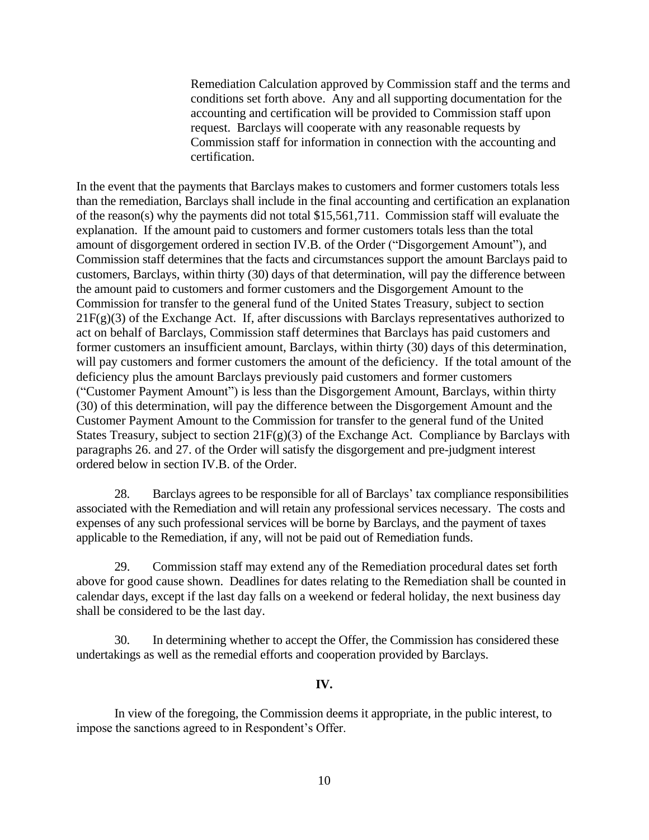Remediation Calculation approved by Commission staff and the terms and conditions set forth above. Any and all supporting documentation for the accounting and certification will be provided to Commission staff upon request. Barclays will cooperate with any reasonable requests by Commission staff for information in connection with the accounting and certification.

In the event that the payments that Barclays makes to customers and former customers totals less than the remediation, Barclays shall include in the final accounting and certification an explanation of the reason(s) why the payments did not total \$15,561,711. Commission staff will evaluate the explanation. If the amount paid to customers and former customers totals less than the total amount of disgorgement ordered in section IV.B. of the Order ("Disgorgement Amount"), and Commission staff determines that the facts and circumstances support the amount Barclays paid to customers, Barclays, within thirty (30) days of that determination, will pay the difference between the amount paid to customers and former customers and the Disgorgement Amount to the Commission for transfer to the general fund of the United States Treasury, subject to section  $21F(g)(3)$  of the Exchange Act. If, after discussions with Barclays representatives authorized to act on behalf of Barclays, Commission staff determines that Barclays has paid customers and former customers an insufficient amount, Barclays, within thirty (30) days of this determination, will pay customers and former customers the amount of the deficiency. If the total amount of the deficiency plus the amount Barclays previously paid customers and former customers ("Customer Payment Amount") is less than the Disgorgement Amount, Barclays, within thirty (30) of this determination, will pay the difference between the Disgorgement Amount and the Customer Payment Amount to the Commission for transfer to the general fund of the United States Treasury, subject to section  $21F(g)(3)$  of the Exchange Act. Compliance by Barclays with paragraphs 26. and 27. of the Order will satisfy the disgorgement and pre-judgment interest ordered below in section IV.B. of the Order.

28. Barclays agrees to be responsible for all of Barclays' tax compliance responsibilities associated with the Remediation and will retain any professional services necessary. The costs and expenses of any such professional services will be borne by Barclays, and the payment of taxes applicable to the Remediation, if any, will not be paid out of Remediation funds.

29. Commission staff may extend any of the Remediation procedural dates set forth above for good cause shown. Deadlines for dates relating to the Remediation shall be counted in calendar days, except if the last day falls on a weekend or federal holiday, the next business day shall be considered to be the last day.

30. In determining whether to accept the Offer, the Commission has considered these undertakings as well as the remedial efforts and cooperation provided by Barclays.

#### **IV.**

In view of the foregoing, the Commission deems it appropriate, in the public interest, to impose the sanctions agreed to in Respondent's Offer.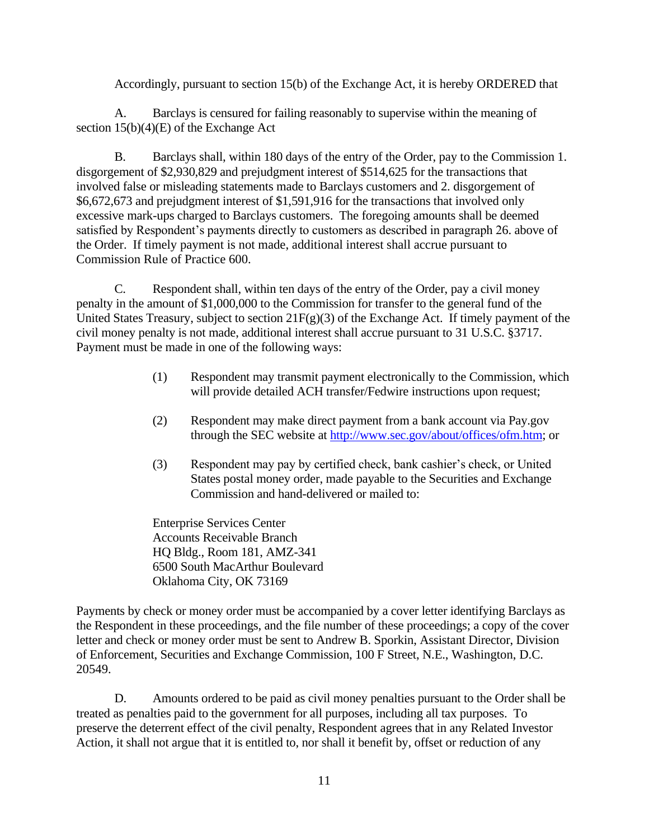Accordingly, pursuant to section 15(b) of the Exchange Act, it is hereby ORDERED that

A. Barclays is censured for failing reasonably to supervise within the meaning of section 15(b)(4)(E) of the Exchange Act

B. Barclays shall, within 180 days of the entry of the Order, pay to the Commission 1. disgorgement of \$2,930,829 and prejudgment interest of \$514,625 for the transactions that involved false or misleading statements made to Barclays customers and 2. disgorgement of \$6,672,673 and prejudgment interest of \$1,591,916 for the transactions that involved only excessive mark-ups charged to Barclays customers. The foregoing amounts shall be deemed satisfied by Respondent's payments directly to customers as described in paragraph 26. above of the Order. If timely payment is not made, additional interest shall accrue pursuant to Commission Rule of Practice 600.

C. Respondent shall, within ten days of the entry of the Order, pay a civil money penalty in the amount of \$1,000,000 to the Commission for transfer to the general fund of the United States Treasury, subject to section  $21F(g)(3)$  of the Exchange Act. If timely payment of the civil money penalty is not made, additional interest shall accrue pursuant to 31 U.S.C. §3717. Payment must be made in one of the following ways:

- (1) Respondent may transmit payment electronically to the Commission, which will provide detailed ACH transfer/Fedwire instructions upon request;
- (2) Respondent may make direct payment from a bank account via Pay.gov through the SEC website at [http://www.sec.gov/about/offices/ofm.htm;](http://www.sec.gov/about/offices/ofm.htm) or
- (3) Respondent may pay by certified check, bank cashier's check, or United States postal money order, made payable to the Securities and Exchange Commission and hand-delivered or mailed to:

Enterprise Services Center Accounts Receivable Branch HQ Bldg., Room 181, AMZ-341 6500 South MacArthur Boulevard Oklahoma City, OK 73169

Payments by check or money order must be accompanied by a cover letter identifying Barclays as the Respondent in these proceedings, and the file number of these proceedings; a copy of the cover letter and check or money order must be sent to Andrew B. Sporkin, Assistant Director, Division of Enforcement, Securities and Exchange Commission, 100 F Street, N.E., Washington, D.C. 20549.

D. Amounts ordered to be paid as civil money penalties pursuant to the Order shall be treated as penalties paid to the government for all purposes, including all tax purposes. To preserve the deterrent effect of the civil penalty, Respondent agrees that in any Related Investor Action, it shall not argue that it is entitled to, nor shall it benefit by, offset or reduction of any